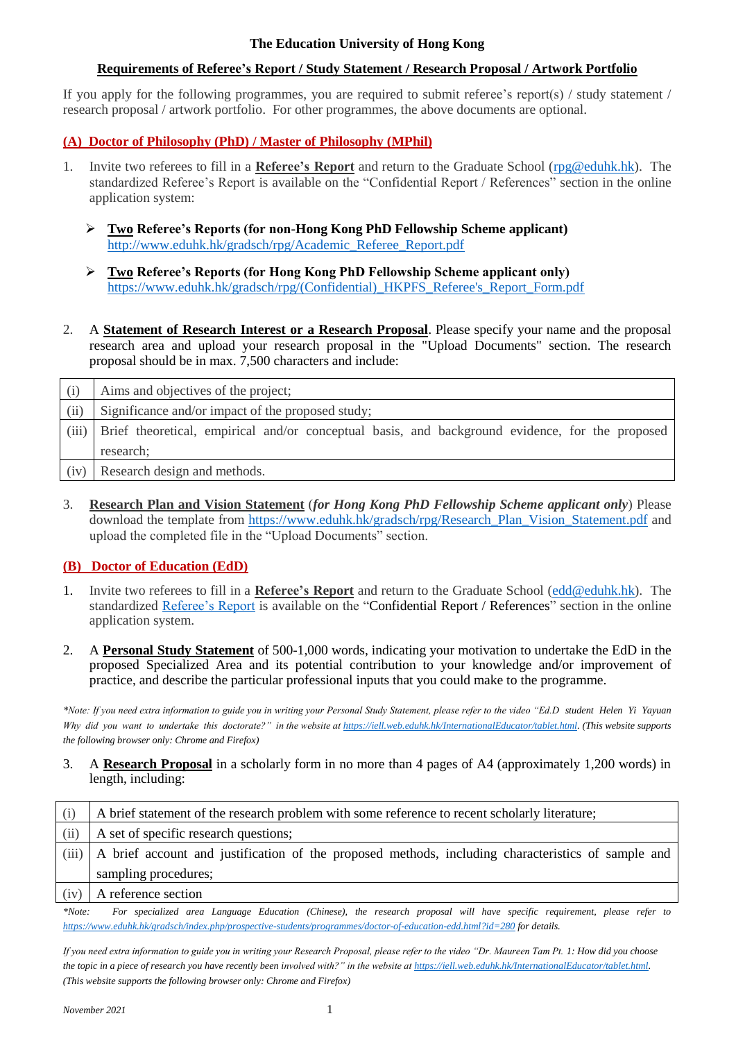#### **The Education University of Hong Kong**

## **Requirements of Referee's Report / Study Statement / Research Proposal / Artwork Portfolio**

If you apply for the following programmes, you are required to submit referee's report(s) / study statement / research proposal / artwork portfolio. For other programmes, the above documents are optional.

## **(A) Doctor of Philosophy (PhD) / Master of Philosophy (MPhil)**

- 1. Invite two referees to fill in a **Referee's Report** and return to the Graduate School [\(rpg@eduhk.hk\)](mailto:rpg@eduhk.hk). The standardized Referee's Report is available on the "Confidential Report / References" section in the online application system:
	- ➢ **Two Referee's Reports (for non-Hong Kong PhD Fellowship Scheme applicant)** [http://www.eduhk.hk/gradsch/rpg/Academic\\_Referee\\_Report.pdf](http://www.eduhk.hk/gradsch/rpg/Academic_Referee_Report.pdf)
	- ➢ **Two Referee's Reports (for Hong Kong PhD Fellowship Scheme applicant only)** [https://www.eduhk.hk/gradsch/rpg/\(Confidential\)\\_HKPFS\\_Referee's\\_Report\\_Form.pdf](https://www.eduhk.hk/gradsch/rpg/(Confidential)_HKPFS_Referee)
- 2. A **Statement of Research Interest or a Research Proposal**. Please specify your name and the proposal research area and upload your research proposal in the "Upload Documents" section. The research proposal should be in max. 7,500 characters and include:

| (i)   | Aims and objectives of the project;                                                             |
|-------|-------------------------------------------------------------------------------------------------|
| (ii)  | Significance and/or impact of the proposed study;                                               |
| (iii) | Brief theoretical, empirical and/or conceptual basis, and background evidence, for the proposed |
|       | research;                                                                                       |
| (iv)  | Research design and methods.                                                                    |

3. **Research Plan and Vision Statement** (*for Hong Kong PhD Fellowship Scheme applicant only*) Please download the template from [https://www.eduhk.hk/gradsch/rpg/Research\\_Plan\\_Vision\\_Statement.pdf](https://www.eduhk.hk/gradsch/rpg/Research_Plan_Vision_Statement.pdf) and upload the completed file in the "Upload Documents" section.

#### **(B) Doctor of Education (EdD)**

- 1. Invite two referees to fill in a **Referee's Report** and return to the Graduate School [\(edd@eduhk.hk\)](mailto:edd@eduhk.hk). The standardized [Referee's Report](https://www.eduhk.hk/gradsch/forms/EdD/Form_GS-68_Academic_Referee_Report.doc) is available on the "Confidential Report / References" section in the online application system.
- 2. A **Personal Study Statement** of 500-1,000 words, indicating your motivation to undertake the EdD in the proposed Specialized Area and its potential contribution to your knowledge and/or improvement of practice, and describe the particular professional inputs that you could make to the programme.

*\*Note: If you need extra information to guide you in writing your Personal Study Statement, please refer to the video "Ed.D student Helen Yi Yayuan Why did you want to undertake this doctorate?" in the website at [https://iell.web.eduhk.hk/InternationalEducator/tablet.html.](https://iell.web.eduhk.hk/InternationalEducator/tablet.html) (This website supports the following browser only: Chrome and Firefox)* 

3. A **Research Proposal** in a scholarly form in no more than 4 pages of A4 (approximately 1,200 words) in length, including:

| (i)   | A brief statement of the research problem with some reference to recent scholarly literature;      |
|-------|----------------------------------------------------------------------------------------------------|
| (ii)  | A set of specific research questions;                                                              |
| (iii) | A brief account and justification of the proposed methods, including characteristics of sample and |
|       | sampling procedures;                                                                               |
| (iv)  | A reference section                                                                                |

*\*Note: For specialized area Language Education (Chinese), the research proposal will have specific requirement, please refer to <https://www.eduhk.hk/gradsch/index.php/prospective-students/programmes/doctor-of-education-edd.html?id=280> for details.* 

*If you need extra information to guide you in writing your Research Proposal, please refer to the video "Dr. Maureen Tam Pt. 1: How did you choose the topic in a piece of research you have recently been involved with?" in the website a[t https://iell.web.eduhk.hk/InternationalEducator/tablet.html.](https://iell.web.eduhk.hk/InternationalEducator/tablet.html) (This website supports the following browser only: Chrome and Firefox)*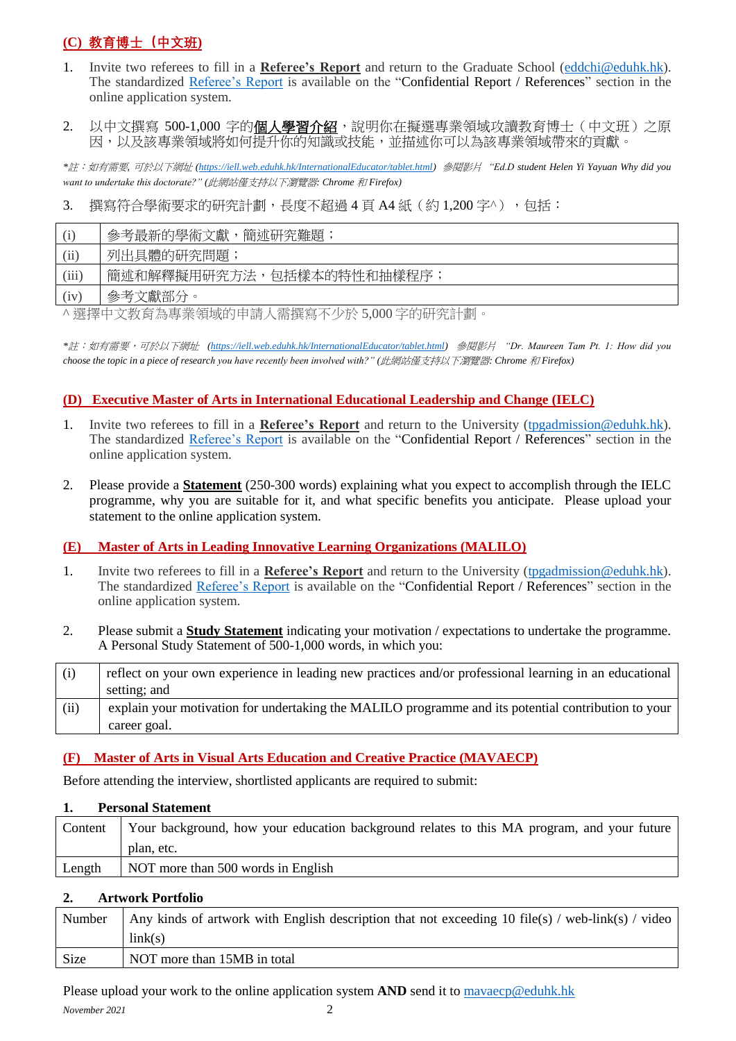# **(C) 教育博士(中文班)**

- 1. Invite two referees to fill in a **Referee's Report** and return to the Graduate School [\(eddchi@eduhk.hk\)](mailto:eddchi@eduhk.hk). The standardized [Referee's Report](https://www.eduhk.hk/gradsch/forms/EdD/Form_GS-68_Academic_Referee_Report.doc) is available on the "Confidential Report / References" section in the online application system.
- 2. 以中文撰寫 500-1,000 字的**個人學習介紹**,說明你在擬選專業領域攻讀教育博士(中文班)之原 因,以及該專業領域將如何提升你的知識或技能,並描述你可以為該專業領域帶來的貢獻。

*\**註:如有需要*,* 可於以下網址 *[\(https://iell.web.eduhk.hk/InternationalEducator/tablet.html\)](https://iell.web.eduhk.hk/InternationalEducator/tablet.html)* 參閱影片 *"Ed.D student Helen Yi Yayuan Why did you want to undertake this doctorate?" (*此網站僅支持以下瀏覽器*: Chrome* 和 *Firefox)* 

3. 撰寫符合學術要求的研究計劃,長度不超過4頁 A4紙 (約1,200字^), 句括:

|       | 簡述研究難題<br>參考最新的學術文獻       |
|-------|---------------------------|
| (ii)  | 列出具體的研究問題,                |
| (iii) | 簡述和解釋擬用研究方法,包括樣本的特性和抽樣程序; |
| (iv)  | 參考文獻部分。                   |

^ 選擇中文教育為專業領域的申請人需撰寫不少於 5,000 字的研究計劃。

*\**註:如有需要,可於以下網址 *[\(https://iell.web.eduhk.hk/InternationalEducator/tablet.html\)](https://iell.web.eduhk.hk/InternationalEducator/tablet.html)* 參閱影片 *"Dr. Maureen Tam Pt. 1: How did you choose the topic in a piece of research you have recently been involved with?" (*此網站僅支持以下瀏覽器*: Chrome* 和 *Firefox)*

## **(D) Executive Master of Arts in International Educational Leadership and Change (IELC)**

- 1. Invite two referees to fill in a **Referee's Report** and return to the University [\(tpgadmission@eduhk.hk\)](mailto:tpgadmission@eduhk.hk). The standardized [Referee's Report](http://www.eduhk.hk/acadprog/downloads/Referee%20Report%20IELC.doc) is available on the "Confidential Report / References" section in the online application system.
- 2. Please provide a **Statement** (250-300 words) explaining what you expect to accomplish through the IELC programme, why you are suitable for it, and what specific benefits you anticipate. Please upload your statement to the online application system.

#### **(E) Master of Arts in Leading Innovative Learning Organizations (MALILO)**

- 1. Invite two referees to fill in a **Referee's Report** and return to the University [\(tpgadmission@eduhk.hk\)](mailto:tpgadmission@eduhk.hk). The standardized [Referee's Report](http://www.eduhk.hk/acadprog/downloads/Referee%20Report%20MALILO.doc) is available on the "Confidential Report / References" section in the online application system.
- 2. Please submit a **Study Statement** indicating your motivation / expectations to undertake the programme. A Personal Study Statement of 500-1,000 words, in which you:

| (i)  | reflect on your own experience in leading new practices and/or professional learning in an educational |
|------|--------------------------------------------------------------------------------------------------------|
|      | setting; and                                                                                           |
|      |                                                                                                        |
| (ii) | explain your motivation for undertaking the MALILO programme and its potential contribution to your    |

#### **(F) Master of Arts in Visual Arts Education and Creative Practice (MAVAECP)**

Before attending the interview, shortlisted applicants are required to submit:

## **1. Personal Statement** Content | Your background, how your education background relates to this MA program, and your future plan, etc. Length | NOT more than 500 words in English

#### **2. Artwork Portfolio**

| Number | Any kinds of artwork with English description that not exceeding 10 file(s) / web-link(s) / video |
|--------|---------------------------------------------------------------------------------------------------|
|        | link(s)                                                                                           |
| Size   | NOT more than 15MB in total                                                                       |

Please upload your work to the online application system **AND** send it to [mavaecp@eduhk.hk](mailto:mavaecp@eduhk.hk)